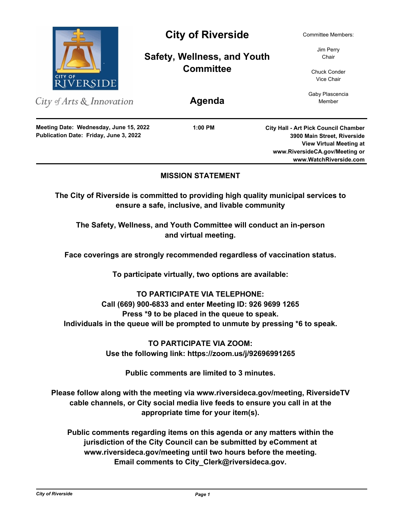

# **MISSION STATEMENT**

**The City of Riverside is committed to providing high quality municipal services to ensure a safe, inclusive, and livable community**

**The Safety, Wellness, and Youth Committee will conduct an in-person and virtual meeting.** 

**Face coverings are strongly recommended regardless of vaccination status.**

**To participate virtually, two options are available:**

# **TO PARTICIPATE VIA TELEPHONE: Call (669) 900-6833 and enter Meeting ID: 926 9699 1265 Press \*9 to be placed in the queue to speak. Individuals in the queue will be prompted to unmute by pressing \*6 to speak.**

**TO PARTICIPATE VIA ZOOM: Use the following link: https://zoom.us/j/92696991265**

**Public comments are limited to 3 minutes.**

**Please follow along with the meeting via www.riversideca.gov/meeting, RiversideTV cable channels, or City social media live feeds to ensure you call in at the appropriate time for your item(s).**

**Public comments regarding items on this agenda or any matters within the jurisdiction of the City Council can be submitted by eComment at www.riversideca.gov/meeting until two hours before the meeting. Email comments to City\_Clerk@riversideca.gov.**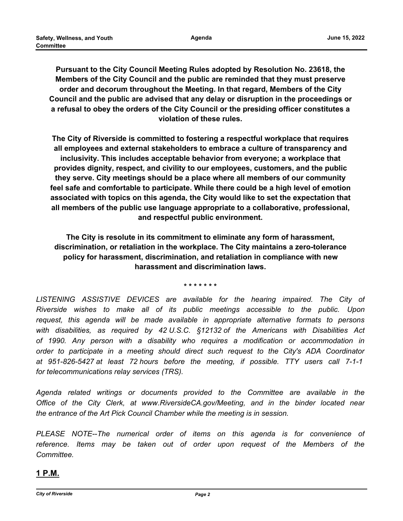**Agenda**

**Pursuant to the City Council Meeting Rules adopted by Resolution No. 23618, the Members of the City Council and the public are reminded that they must preserve order and decorum throughout the Meeting. In that regard, Members of the City Council and the public are advised that any delay or disruption in the proceedings or a refusal to obey the orders of the City Council or the presiding officer constitutes a violation of these rules.**

**The City of Riverside is committed to fostering a respectful workplace that requires all employees and external stakeholders to embrace a culture of transparency and inclusivity. This includes acceptable behavior from everyone; a workplace that provides dignity, respect, and civility to our employees, customers, and the public they serve. City meetings should be a place where all members of our community feel safe and comfortable to participate. While there could be a high level of emotion associated with topics on this agenda, the City would like to set the expectation that all members of the public use language appropriate to a collaborative, professional, and respectful public environment.**

**The City is resolute in its commitment to eliminate any form of harassment, discrimination, or retaliation in the workplace. The City maintains a zero-tolerance policy for harassment, discrimination, and retaliation in compliance with new harassment and discrimination laws.**

**\* \* \* \* \* \* \***

LISTENING ASSISTIVE DEVICES are available for the hearing impaired. The City of *Riverside wishes to make all of its public meetings accessible to the public. Upon request, this agenda will be made available in appropriate alternative formats to persons with disabilities, as required by 42 U.S.C. §12132 of the Americans with Disabilities Act of 1990. Any person with a disability who requires a modification or accommodation in order to participate in a meeting should direct such request to the City's ADA Coordinator at 951-826-5427 at least 72 hours before the meeting, if possible. TTY users call 7-1-1 for telecommunications relay services (TRS).*

*Agenda related writings or documents provided to the Committee are available in the Office of the City Clerk, at www.RiversideCA.gov/Meeting, and in the binder located near the entrance of the Art Pick Council Chamber while the meeting is in session.*

*PLEASE NOTE--The numerical order of items on this agenda is for convenience of reference. Items may be taken out of order upon request of the Members of the Committee.*

# **1 P.M.**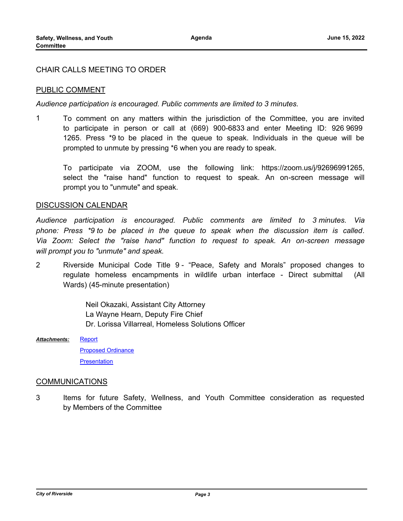### CHAIR CALLS MEETING TO ORDER

### PUBLIC COMMENT

*Audience participation is encouraged. Public comments are limited to 3 minutes.*

1 To comment on any matters within the jurisdiction of the Committee, you are invited to participate in person or call at (669) 900-6833 and enter Meeting ID: 926 9699 1265. Press \*9 to be placed in the queue to speak. Individuals in the queue will be prompted to unmute by pressing \*6 when you are ready to speak.

To participate via ZOOM, use the following link: https://zoom.us/j/92696991265, select the "raise hand" function to request to speak. An on-screen message will prompt you to "unmute" and speak.

#### DISCUSSION CALENDAR

*Audience participation is encouraged. Public comments are limited to 3 minutes. Via phone: Press \*9 to be placed in the queue to speak when the discussion item is called. Via Zoom: Select the "raise hand" function to request to speak. An on-screen message will prompt you to "unmute" and speak.*

2 Riverside Municipal Code Title 9 - "Peace, Safety and Morals" proposed changes to regulate homeless encampments in wildlife urban interface - Direct submittal (All Wards) (45-minute presentation)

> Neil Okazaki, Assistant City Attorney La Wayne Hearn, Deputy Fire Chief Dr. Lorissa Villarreal, Homeless Solutions Officer

[Report](http://riversideca.legistar.com/gateway.aspx?M=F&ID=64738eb7-649e-4402-bced-1b8976b64521.docx) [Proposed Ordinance](http://riversideca.legistar.com/gateway.aspx?M=F&ID=40215ba3-c5ee-4691-a340-892cc50d53bc.docx) **[Presentation](http://riversideca.legistar.com/gateway.aspx?M=F&ID=2b3a90ee-8267-4bc4-8e69-007bf4acd5e1.pdf)** *Attachments:*

#### COMMUNICATIONS

3 Items for future Safety, Wellness, and Youth Committee consideration as requested by Members of the Committee